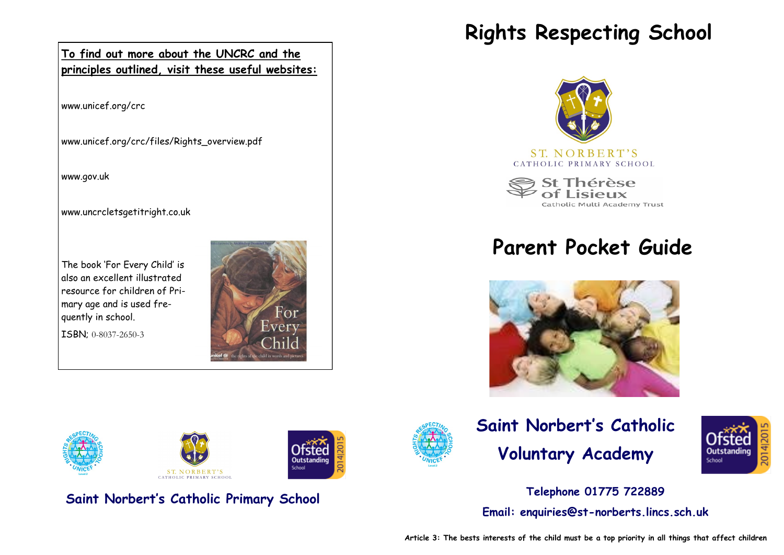

www.unicef.org/crc

www.unicef.org/crc/files/Rights\_overview.pdf

www.gov.uk

www.uncrcletsgetitright.co.uk

The book 'For Every Child' is also an excellent illustrated resource for children of Primary age and is used frequently in school.

ISBN; 0-8037-2650-3





**Saint Norbert's Catholic Primary School**

# **Rights Respecting School**



#### ST. NORBERT'S CATHOLIC PRIMARY SCHOOL

St Thérèse Catholic Multi Academy Trust

# **Parent Pocket Guide**







**Telephone 01775 722889 Email: enquiries@st-norberts.lincs.sch.uk**